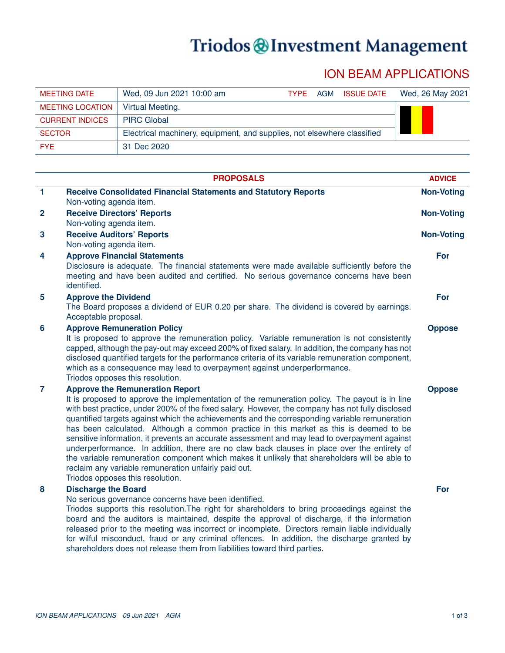## Triodos @Investment Management

## ION BEAM APPLICATIONS

| MEETING DATE            | Wed, 09 Jun 2021 10:00 am                                               | <b>TYPF</b> | AGM | <b>ISSUE DATE</b> | Wed, 26 May 2021 |
|-------------------------|-------------------------------------------------------------------------|-------------|-----|-------------------|------------------|
| <b>MEETING LOCATION</b> | Virtual Meeting.                                                        |             |     |                   |                  |
| <b>CURRENT INDICES</b>  | <b>PIRC Global</b>                                                      |             |     |                   |                  |
| <b>SECTOR</b>           | Electrical machinery, equipment, and supplies, not elsewhere classified |             |     |                   |                  |
| FYF.                    | 31 Dec 2020                                                             |             |     |                   |                  |

|                         | <b>PROPOSALS</b>                                                                                                                                                                                                                                                                                                                                                                                                                                                                                                                                                                                                                                                                                                                                                                                                                     | <b>ADVICE</b>     |
|-------------------------|--------------------------------------------------------------------------------------------------------------------------------------------------------------------------------------------------------------------------------------------------------------------------------------------------------------------------------------------------------------------------------------------------------------------------------------------------------------------------------------------------------------------------------------------------------------------------------------------------------------------------------------------------------------------------------------------------------------------------------------------------------------------------------------------------------------------------------------|-------------------|
| $\blacktriangleleft$    | <b>Receive Consolidated Financial Statements and Statutory Reports</b>                                                                                                                                                                                                                                                                                                                                                                                                                                                                                                                                                                                                                                                                                                                                                               | <b>Non-Voting</b> |
|                         | Non-voting agenda item.                                                                                                                                                                                                                                                                                                                                                                                                                                                                                                                                                                                                                                                                                                                                                                                                              |                   |
| $\overline{2}$          | <b>Receive Directors' Reports</b>                                                                                                                                                                                                                                                                                                                                                                                                                                                                                                                                                                                                                                                                                                                                                                                                    | <b>Non-Voting</b> |
|                         | Non-voting agenda item.                                                                                                                                                                                                                                                                                                                                                                                                                                                                                                                                                                                                                                                                                                                                                                                                              |                   |
| $\overline{\mathbf{3}}$ | <b>Receive Auditors' Reports</b><br>Non-voting agenda item.                                                                                                                                                                                                                                                                                                                                                                                                                                                                                                                                                                                                                                                                                                                                                                          | <b>Non-Voting</b> |
| 4                       | <b>Approve Financial Statements</b>                                                                                                                                                                                                                                                                                                                                                                                                                                                                                                                                                                                                                                                                                                                                                                                                  | For               |
|                         | Disclosure is adequate. The financial statements were made available sufficiently before the<br>meeting and have been audited and certified. No serious governance concerns have been<br>identified.                                                                                                                                                                                                                                                                                                                                                                                                                                                                                                                                                                                                                                 |                   |
| $5\phantom{.0}$         | <b>Approve the Dividend</b><br>The Board proposes a dividend of EUR 0.20 per share. The dividend is covered by earnings.<br>Acceptable proposal.                                                                                                                                                                                                                                                                                                                                                                                                                                                                                                                                                                                                                                                                                     | For               |
| $6\phantom{1}6$         | <b>Approve Remuneration Policy</b><br>It is proposed to approve the remuneration policy. Variable remuneration is not consistently<br>capped, although the pay-out may exceed 200% of fixed salary. In addition, the company has not<br>disclosed quantified targets for the performance criteria of its variable remuneration component,<br>which as a consequence may lead to overpayment against underperformance.<br>Triodos opposes this resolution.                                                                                                                                                                                                                                                                                                                                                                            | <b>Oppose</b>     |
| $\overline{7}$          | <b>Approve the Remuneration Report</b><br>It is proposed to approve the implementation of the remuneration policy. The payout is in line<br>with best practice, under 200% of the fixed salary. However, the company has not fully disclosed<br>quantified targets against which the achievements and the corresponding variable remuneration<br>has been calculated. Although a common practice in this market as this is deemed to be<br>sensitive information, it prevents an accurate assessment and may lead to overpayment against<br>underperformance. In addition, there are no claw back clauses in place over the entirety of<br>the variable remuneration component which makes it unlikely that shareholders will be able to<br>reclaim any variable remuneration unfairly paid out.<br>Triodos opposes this resolution. | <b>Oppose</b>     |
| 8                       | <b>Discharge the Board</b><br>No serious governance concerns have been identified.<br>Triodos supports this resolution. The right for shareholders to bring proceedings against the<br>board and the auditors is maintained, despite the approval of discharge, if the information<br>released prior to the meeting was incorrect or incomplete. Directors remain liable individually<br>for wilful misconduct, fraud or any criminal offences. In addition, the discharge granted by<br>shareholders does not release them from liabilities toward third parties.                                                                                                                                                                                                                                                                   | For               |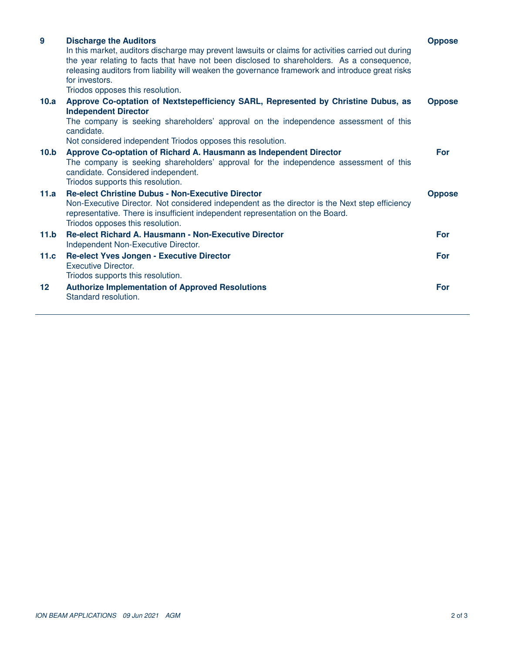| 9                 | <b>Discharge the Auditors</b><br>In this market, auditors discharge may prevent lawsuits or claims for activities carried out during<br>the year relating to facts that have not been disclosed to shareholders. As a consequence,<br>releasing auditors from liability will weaken the governance framework and introduce great risks<br>for investors.<br>Triodos opposes this resolution. | <b>Oppose</b> |
|-------------------|----------------------------------------------------------------------------------------------------------------------------------------------------------------------------------------------------------------------------------------------------------------------------------------------------------------------------------------------------------------------------------------------|---------------|
| 10.a              | Approve Co-optation of Nextstepefficiency SARL, Represented by Christine Dubus, as<br><b>Independent Director</b><br>The company is seeking shareholders' approval on the independence assessment of this<br>candidate.<br>Not considered independent Triodos opposes this resolution.                                                                                                       | <b>Oppose</b> |
| 10.b              | Approve Co-optation of Richard A. Hausmann as Independent Director<br>The company is seeking shareholders' approval for the independence assessment of this<br>candidate. Considered independent.<br>Triodos supports this resolution.                                                                                                                                                       | For           |
| 11.a              | <b>Re-elect Christine Dubus - Non-Executive Director</b><br>Non-Executive Director. Not considered independent as the director is the Next step efficiency<br>representative. There is insufficient independent representation on the Board.<br>Triodos opposes this resolution.                                                                                                             | <b>Oppose</b> |
| 11.b              | <b>Re-elect Richard A. Hausmann - Non-Executive Director</b><br>Independent Non-Executive Director.                                                                                                                                                                                                                                                                                          | For           |
| 11.c              | <b>Re-elect Yves Jongen - Executive Director</b><br>Executive Director.<br>Triodos supports this resolution.                                                                                                                                                                                                                                                                                 | For           |
| $12 \overline{ }$ | <b>Authorize Implementation of Approved Resolutions</b><br>Standard resolution.                                                                                                                                                                                                                                                                                                              | For           |